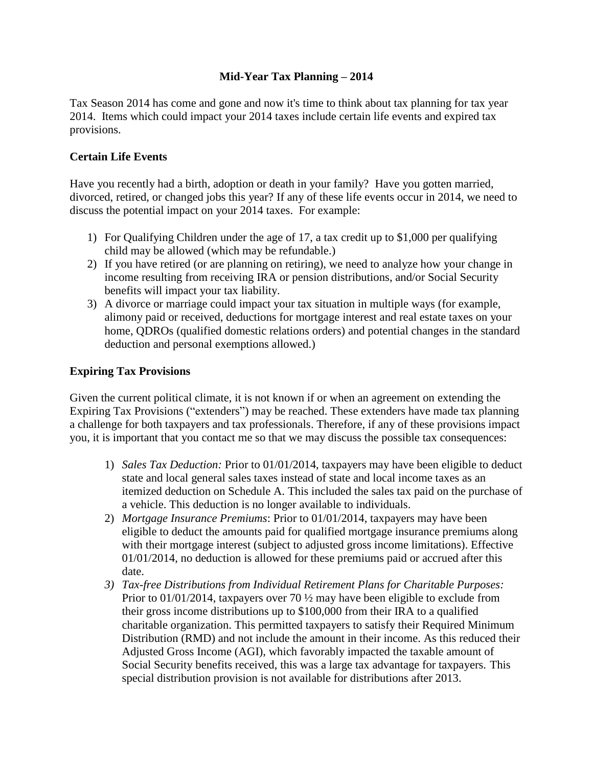## **Mid-Year Tax Planning – 2014**

Tax Season 2014 has come and gone and now it's time to think about tax planning for tax year 2014. Items which could impact your 2014 taxes include certain life events and expired tax provisions.

## **Certain Life Events**

Have you recently had a birth, adoption or death in your family? Have you gotten married, divorced, retired, or changed jobs this year? If any of these life events occur in 2014, we need to discuss the potential impact on your 2014 taxes. For example:

- 1) For Qualifying Children under the age of 17, a tax credit up to \$1,000 per qualifying child may be allowed (which may be refundable.)
- 2) If you have retired (or are planning on retiring), we need to analyze how your change in income resulting from receiving IRA or pension distributions, and/or Social Security benefits will impact your tax liability.
- 3) A divorce or marriage could impact your tax situation in multiple ways (for example, alimony paid or received, deductions for mortgage interest and real estate taxes on your home, QDROs (qualified domestic relations orders) and potential changes in the standard deduction and personal exemptions allowed.)

## **Expiring Tax Provisions**

Given the current political climate, it is not known if or when an agreement on extending the Expiring Tax Provisions ("extenders") may be reached. These extenders have made tax planning a challenge for both taxpayers and tax professionals. Therefore, if any of these provisions impact you, it is important that you contact me so that we may discuss the possible tax consequences:

- 1) *Sales Tax Deduction:* Prior to 01/01/2014, taxpayers may have been eligible to deduct state and local general sales taxes instead of state and local income taxes as an itemized deduction on Schedule A. This included the sales tax paid on the purchase of a vehicle. This deduction is no longer available to individuals.
- 2) *Mortgage Insurance Premiums*: Prior to 01/01/2014, taxpayers may have been eligible to deduct the amounts paid for qualified mortgage insurance premiums along with their mortgage interest (subject to adjusted gross income limitations). Effective 01/01/2014, no deduction is allowed for these premiums paid or accrued after this date.
- *3) Tax-free Distributions from Individual Retirement Plans for Charitable Purposes:* Prior to 01/01/2014, taxpayers over 70  $\frac{1}{2}$  may have been eligible to exclude from their gross income distributions up to \$100,000 from their IRA to a qualified charitable organization. This permitted taxpayers to satisfy their Required Minimum Distribution (RMD) and not include the amount in their income. As this reduced their Adjusted Gross Income (AGI), which favorably impacted the taxable amount of Social Security benefits received, this was a large tax advantage for taxpayers. This special distribution provision is not available for distributions after 2013.